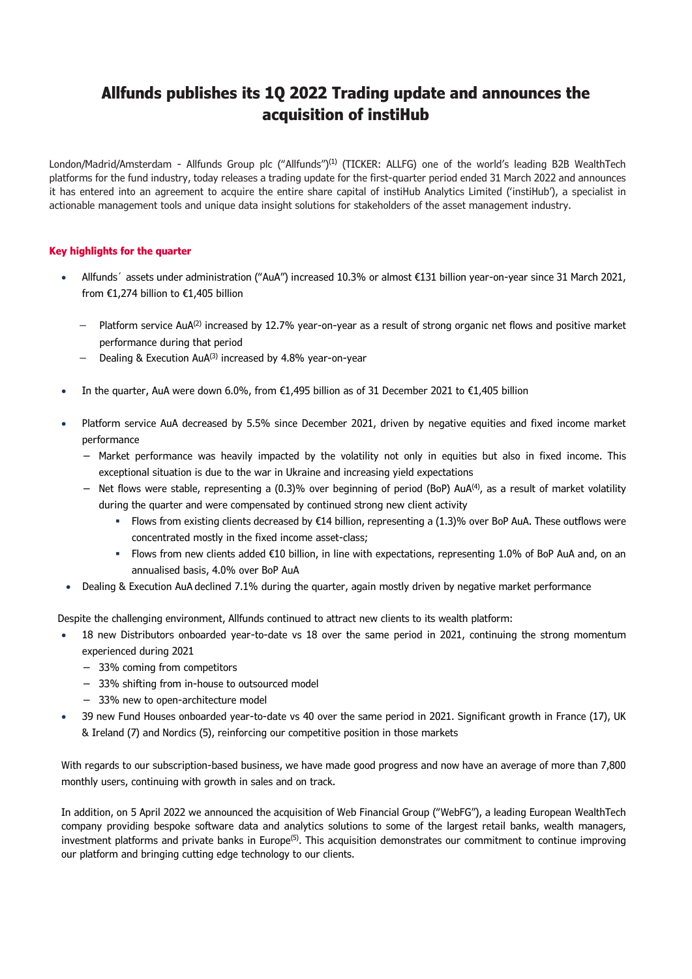# **Allfunds publishes its 1Q 2022 Trading update and announces the acquisition of instiHub**

London/Madrid/Amsterdam - Allfunds Group plc ("Allfunds")(1) (TICKER: ALLFG) one of the world's leading B2B WealthTech platforms for the fund industry, today releases a trading update for the first-quarter period ended 31 March 2022 and announces it has entered into an agreement to acquire the entire share capital of instiHub Analytics Limited ('instiHub'), a specialist in actionable management tools and unique data insight solutions for stakeholders of the asset management industry.

### **Key highlights for the quarter**

- Allfunds´ assets under administration ("AuA") increased 10.3% or almost €131 billion year-on-year since 31 March 2021, from €1,274 billion to €1,405 billion
	- Platform service AuA<sup>(2)</sup> increased by 12.7% year-on-year as a result of strong organic net flows and positive market performance during that period
	- Dealing & Execution AuA<sup>(3)</sup> increased by 4.8% year-on-year
- In the quarter, AuA were down 6.0%, from €1,495 billion as of 31 December 2021 to €1,405 billion
- Platform service AuA decreased by 5.5% since December 2021, driven by negative equities and fixed income market performance
	- − Market performance was heavily impacted by the volatility not only in equities but also in fixed income. This exceptional situation is due to the war in Ukraine and increasing yield expectations
	- − Net flows were stable, representing a (0.3)% over beginning of period (BoP) AuA(4) , as a result of market volatility during the quarter and were compensated by continued strong new client activity
		- Flows from existing clients decreased by €14 billion, representing a (1.3)% over BoP AuA. These outflows were concentrated mostly in the fixed income asset-class;
		- Flows from new clients added €10 billion, in line with expectations, representing 1.0% of BoP AuA and, on an annualised basis, 4.0% over BoP AuA
- Dealing & Execution AuA declined 7.1% during the quarter, again mostly driven by negative market performance

Despite the challenging environment, Allfunds continued to attract new clients to its wealth platform:

- 18 new Distributors onboarded year-to-date vs 18 over the same period in 2021, continuing the strong momentum experienced during 2021
	- − 33% coming from competitors
	- − 33% shifting from in-house to outsourced model
	- − 33% new to open-architecture model
- 39 new Fund Houses onboarded year-to-date vs 40 over the same period in 2021. Significant growth in France (17), UK & Ireland (7) and Nordics (5), reinforcing our competitive position in those markets

With regards to our subscription-based business, we have made good progress and now have an average of more than 7,800 monthly users, continuing with growth in sales and on track.

In addition, on 5 April 2022 we announced the acquisition of Web Financial Group ("WebFG"), a leading European WealthTech company providing bespoke software data and analytics solutions to some of the largest retail banks, wealth managers, investment platforms and private banks in Europe<sup>(5)</sup>. This acquisition demonstrates our commitment to continue improving our platform and bringing cutting edge technology to our clients.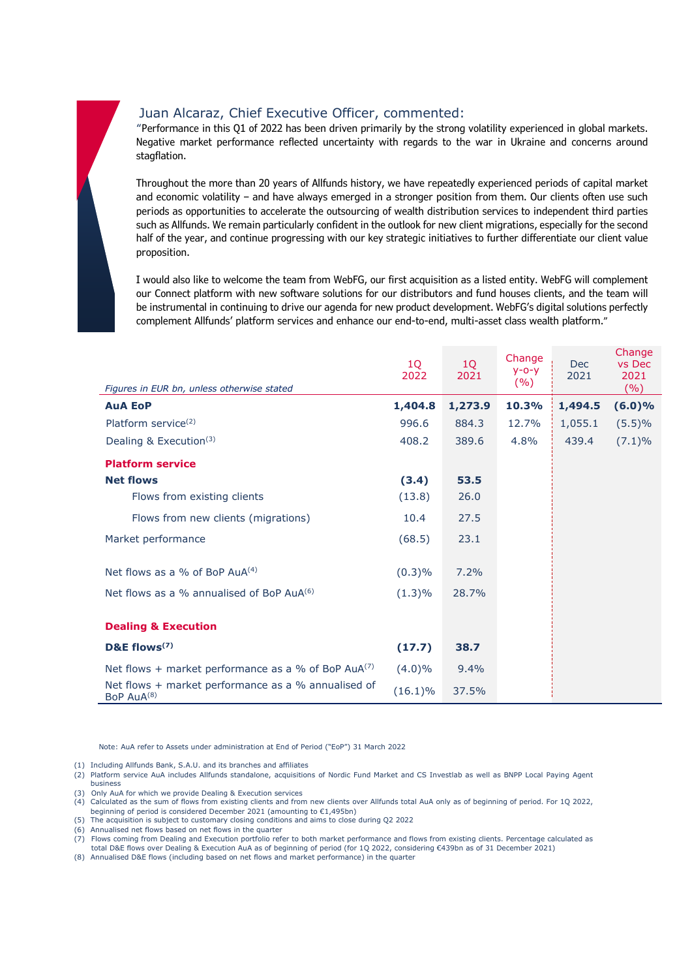# Juan Alcaraz, Chief Executive Officer, commented:

"Performance in this Q1 of 2022 has been driven primarily by the strong volatility experienced in global markets. Negative market performance reflected uncertainty with regards to the war in Ukraine and concerns around stagflation.

Throughout the more than 20 years of Allfunds history, we have repeatedly experienced periods of capital market and economic volatility – and have always emerged in a stronger position from them. Our clients often use such periods as opportunities to accelerate the outsourcing of wealth distribution services to independent third parties such as Allfunds. We remain particularly confident in the outlook for new client migrations, especially for the second half of the year, and continue progressing with our key strategic initiatives to further differentiate our client value proposition.

I would also like to welcome the team from WebFG, our first acquisition as a listed entity. WebFG will complement our Connect platform with new software solutions for our distributors and fund houses clients, and the team will be instrumental in continuing to drive our agenda for new product development. WebFG's digital solutions perfectly complement Allfunds' platform services and enhance our end-to-end, multi-asset class wealth platform."

| Figures in EUR bn, unless otherwise stated                               | 1Q<br>2022 | 1Q<br>2021 | Change<br>$y - 0 - y$<br>(%) | <b>Dec</b><br>2021 | Change<br>vs Dec<br>2021<br>(%) |
|--------------------------------------------------------------------------|------------|------------|------------------------------|--------------------|---------------------------------|
| <b>AuA EoP</b>                                                           | 1,404.8    | 1,273.9    | 10.3%                        | 1,494.5            | $(6.0)\%$                       |
| Platform service <sup>(2)</sup>                                          | 996.6      | 884.3      | 12.7%                        | 1,055.1            | (5.5)%                          |
| Dealing & Execution <sup>(3)</sup>                                       | 408.2      | 389.6      | 4.8%                         | 439.4              | $(7.1)\%$                       |
| <b>Platform service</b>                                                  |            |            |                              |                    |                                 |
| <b>Net flows</b>                                                         | (3.4)      | 53.5       |                              |                    |                                 |
| Flows from existing clients                                              | (13.8)     | 26.0       |                              |                    |                                 |
| Flows from new clients (migrations)                                      | 10.4       | 27.5       |                              |                    |                                 |
| Market performance                                                       | (68.5)     | 23.1       |                              |                    |                                 |
| Net flows as a % of BoP $AuA^{(4)}$                                      | (0.3)%     | 7.2%       |                              |                    |                                 |
| Net flows as a % annualised of BoP AuA <sup>(6)</sup>                    | $(1.3)\%$  | 28.7%      |                              |                    |                                 |
| <b>Dealing &amp; Execution</b>                                           |            |            |                              |                    |                                 |
| D&E flows <sup>(7)</sup>                                                 | (17.7)     | 38.7       |                              |                    |                                 |
| Net flows + market performance as a % of BoP $AuA^{(7)}$                 | $(4.0)\%$  | $9.4\%$    |                              |                    |                                 |
| Net flows $+$ market performance as a % annualised of<br>BoP $AuA^{(8)}$ | $(16.1)\%$ | 37.5%      |                              |                    |                                 |

Note: AuA refer to Assets under administration at End of Period ("EoP") 31 March 2022

(1) Including Allfunds Bank, S.A.U. and its branches and affiliates

- (2) Platform service AuA includes Allfunds standalone, acquisitions of Nordic Fund Market and CS Investlab as well as BNPP Local Paying Agent business
- (3) Only AuA for which we provide Dealing & Execution services
- (4) Calculated as the sum of flows from existing clients and from new clients over Allfunds total AuA only as of beginning of period. For 1Q 2022, beginning of period is considered December 2021 (amounting to €1,495bn)
- (5) The acquisition is subject to customary closing conditions and aims to close during Q2 2022
- (6) Annualised net flows based on net flows in the quarter
- (7) Flows coming from Dealing and Execution portfolio refer to both market performance and flows from existing clients. Percentage calculated as total D&E flows over Dealing & Execution AuA as of beginning of period (for 1Q 2022, considering €439bn as of 31 December 2021)
- (8) Annualised D&E flows (including based on net flows and market performance) in the quarter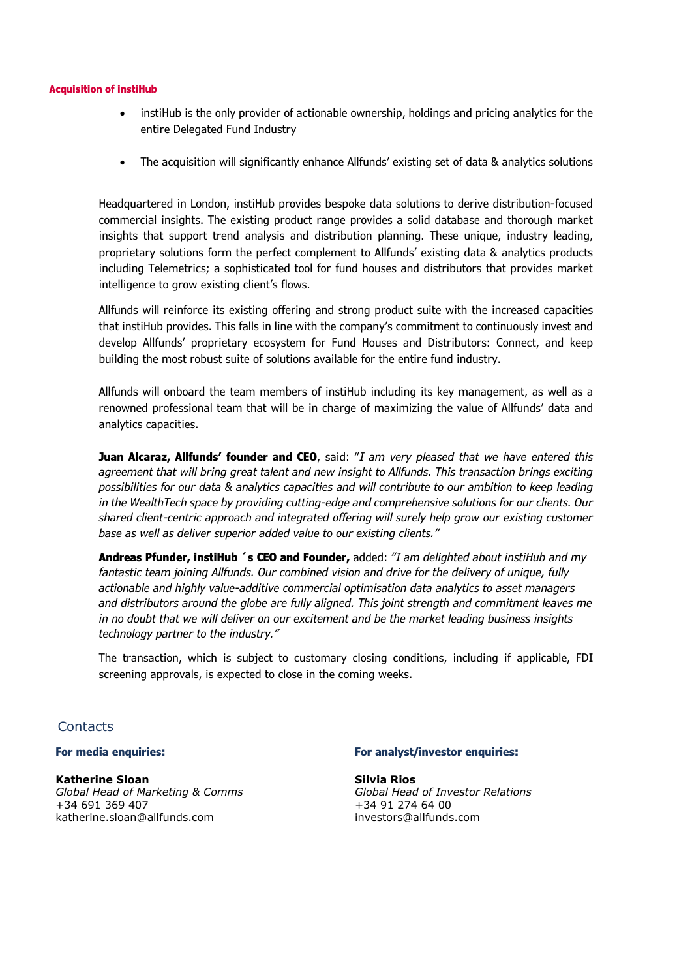#### **Acquisition of instiHub**

- instiHub is the only provider of actionable ownership, holdings and pricing analytics for the entire Delegated Fund Industry
- The acquisition will significantly enhance Allfunds' existing set of data & analytics solutions

Headquartered in London, instiHub provides bespoke data solutions to derive distribution-focused commercial insights. The existing product range provides a solid database and thorough market insights that support trend analysis and distribution planning. These unique, industry leading, proprietary solutions form the perfect complement to Allfunds' existing data & analytics products including Telemetrics; a sophisticated tool for fund houses and distributors that provides market intelligence to grow existing client's flows.

Allfunds will reinforce its existing offering and strong product suite with the increased capacities that instiHub provides. This falls in line with the company's commitment to continuously invest and develop Allfunds' proprietary ecosystem for Fund Houses and Distributors: Connect, and keep building the most robust suite of solutions available for the entire fund industry.

Allfunds will onboard the team members of instiHub including its key management, as well as a renowned professional team that will be in charge of maximizing the value of Allfunds' data and analytics capacities.

**Juan Alcaraz, Allfunds' founder and CEO**, said: "*I am very pleased that we have entered this agreement that will bring great talent and new insight to Allfunds. This transaction brings exciting possibilities for our data & analytics capacities and will contribute to our ambition to keep leading in the WealthTech space by providing cutting-edge and comprehensive solutions for our clients. Our shared client-centric approach and integrated offering will surely help grow our existing customer base as well as deliver superior added value to our existing clients."*

**Andreas Pfunder, instiHub ´s CEO and Founder,** added: *"I am delighted about instiHub and my fantastic team joining Allfunds. Our combined vision and drive for the delivery of unique, fully actionable and highly value-additive commercial optimisation data analytics to asset managers and distributors around the globe are fully aligned. This joint strength and commitment leaves me in no doubt that we will deliver on our excitement and be the market leading business insights technology partner to the industry."*

The transaction, which is subject to customary closing conditions, including if applicable, FDI screening approvals, is expected to close in the coming weeks.

## **Contacts**

**Katherine Sloan** *Global Head of Marketing & Comms* katherine.sloan@allfunds.com

#### **For media enquiries: For analyst/investor enquiries:**

**Silvia Rios** *Global Head of Investor Relations* +34 691 369 407 +34 91 274 64 00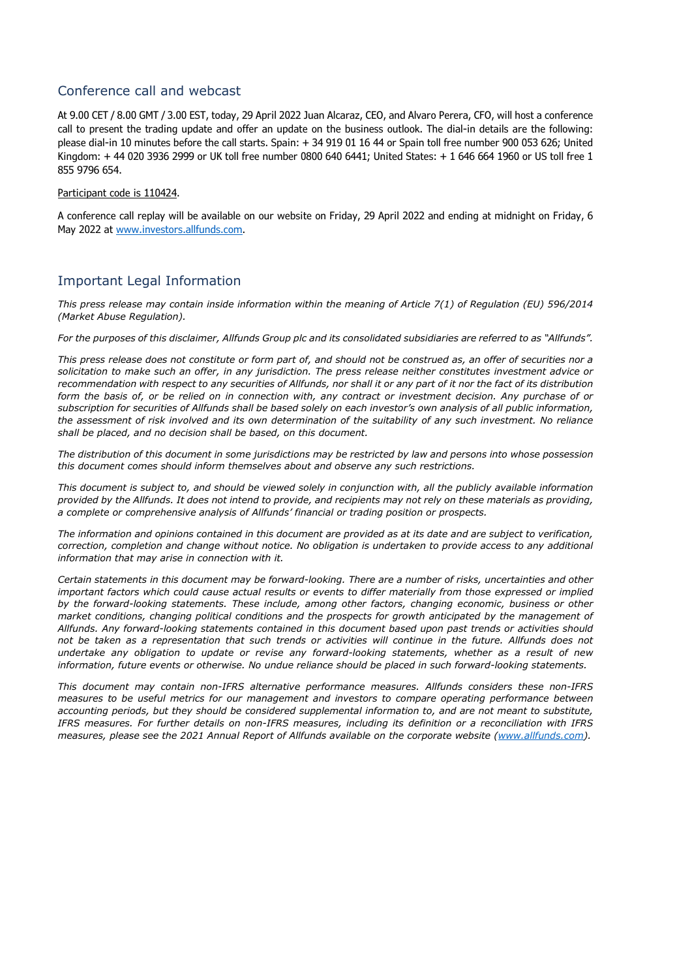## Conference call and webcast

At 9.00 CET / 8.00 GMT / 3.00 EST, today, 29 April 2022 Juan Alcaraz, CEO, and Alvaro Perera, CFO, will host a conference call to present the trading update and offer an update on the business outlook. The dial-in details are the following: please dial-in 10 minutes before the call starts. Spain: + 34 919 01 16 44 or Spain toll free number 900 053 626; United Kingdom: + 44 020 3936 2999 or UK toll free number 0800 640 6441; United States: + 1 646 664 1960 or US toll free 1 855 9796 654.

#### Participant code is 110424.

A conference call replay will be available on our website on Friday, 29 April 2022 and ending at midnight on Friday, 6 May 2022 at [www.investors.allfunds.com.](http://www.investors.allfunds.com/)

## Important Legal Information

*This press release may contain inside information within the meaning of Article 7(1) of Regulation (EU) 596/2014 (Market Abuse Regulation).* 

*For the purposes of this disclaimer, Allfunds Group plc and its consolidated subsidiaries are referred to as "Allfunds".*

*This press release does not constitute or form part of, and should not be construed as, an offer of securities nor a solicitation to make such an offer, in any jurisdiction. The press release neither constitutes investment advice or recommendation with respect to any securities of Allfunds, nor shall it or any part of it nor the fact of its distribution*  form the basis of, or be relied on in connection with, any contract or investment decision. Any purchase of or *subscription for securities of Allfunds shall be based solely on each investor's own analysis of all public information, the assessment of risk involved and its own determination of the suitability of any such investment. No reliance shall be placed, and no decision shall be based, on this document.*

*The distribution of this document in some jurisdictions may be restricted by law and persons into whose possession this document comes should inform themselves about and observe any such restrictions.* 

*This document is subject to, and should be viewed solely in conjunction with, all the publicly available information provided by the Allfunds. It does not intend to provide, and recipients may not rely on these materials as providing, a complete or comprehensive analysis of Allfunds' financial or trading position or prospects.*

*The information and opinions contained in this document are provided as at its date and are subject to verification, correction, completion and change without notice. No obligation is undertaken to provide access to any additional information that may arise in connection with it.*

*Certain statements in this document may be forward-looking. There are a number of risks, uncertainties and other important factors which could cause actual results or events to differ materially from those expressed or implied by the forward-looking statements. These include, among other factors, changing economic, business or other market conditions, changing political conditions and the prospects for growth anticipated by the management of Allfunds. Any forward-looking statements contained in this document based upon past trends or activities should not be taken as a representation that such trends or activities will continue in the future. Allfunds does not undertake any obligation to update or revise any forward-looking statements, whether as a result of new information, future events or otherwise. No undue reliance should be placed in such forward-looking statements.*

*This document may contain non-IFRS alternative performance measures. Allfunds considers these non-IFRS measures to be useful metrics for our management and investors to compare operating performance between accounting periods, but they should be considered supplemental information to, and are not meant to substitute, IFRS measures. For further details on non-IFRS measures, including its definition or a reconciliation with IFRS measures, please see the 2021 Annual Report of Allfunds available on the corporate website [\(www.allfunds.com\)](http://www.allfunds.com/)*.